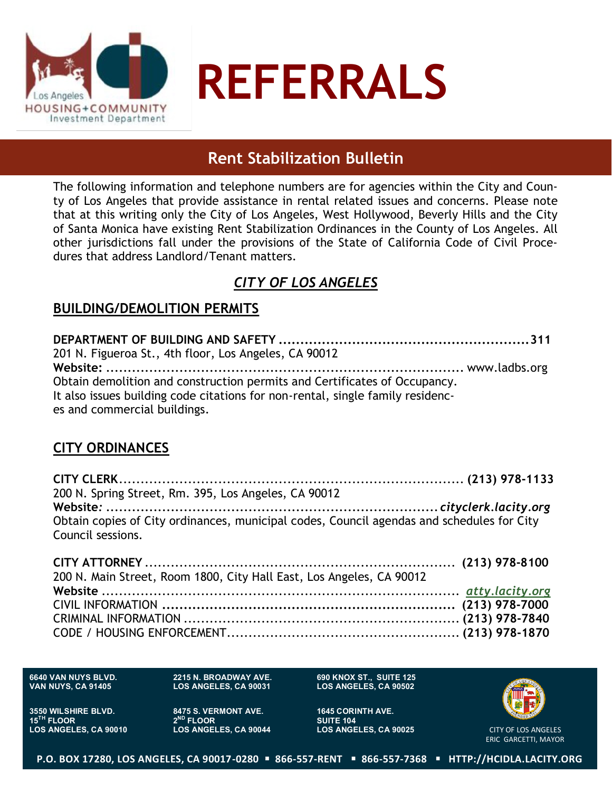

# **Rent Stabilization Bulletin**

The following information and telephone numbers are for agencies within the City and County of Los Angeles that provide assistance in rental related issues and concerns. Please note that at this writing only the City of Los Angeles, West Hollywood, Beverly Hills and the City of Santa Monica have existing Rent Stabilization Ordinances in the County of Los Angeles. All other jurisdictions fall under the provisions of the State of California Code of Civil Procedures that address Landlord/Tenant matters.

## *CITY OF LOS ANGELES*

### **BUILDING/DEMOLITION PERMITS**

**DEPARTMENT OF BUILDING AND SAFETY ..........................................................311** 201 N. Figueroa St., 4th floor, Los Angeles, CA 90012 **Website:** *...................................................................................* www.ladbs.org Obtain demolition and construction permits and Certificates of Occupancy. It also issues building code citations for non-rental, single family residences and commercial buildings.

## **CITY ORDINANCES**

**CITY CLERK**................................................................................ **(213) 978-1133** 200 N. Spring Street, Rm. 395, Los Angeles, CA 90012 **Website***: ............................................................................. cityclerk.lacity.org* Obtain copies of City ordinances, municipal codes, Council agendas and schedules for City Council sessions.

| 200 N. Main Street, Room 1800, City Hall East, Los Angeles, CA 90012 |  |
|----------------------------------------------------------------------|--|
|                                                                      |  |
|                                                                      |  |
|                                                                      |  |
|                                                                      |  |

**6640 VAN NUYS BLVD. VAN NUYS, CA 91405**

**2215 N. BROADWAY AVE. LOS ANGELES, CA 90031**

**690 KNOX ST., SUITE 125 LOS ANGELES, CA 90502**

**1645 CORINTH AVE. SUITE 104 LOS ANGELES, CA 90025**



CITY OF LOS ANGELES ERIC GARCETTI, MAYOR

**3550 WILSHIRE BLVD. 15TH FLOOR LOS ANGELES, CA 90010** **8475 S. VERMONT AVE. 2 ND FLOOR LOS ANGELES, CA 90044**

**P.O. BOX 17280, LOS ANGELES, CA 90017-0280 866-557-RENT 866-557-7368 HTTP://HCIDLA.LACITY.ORG**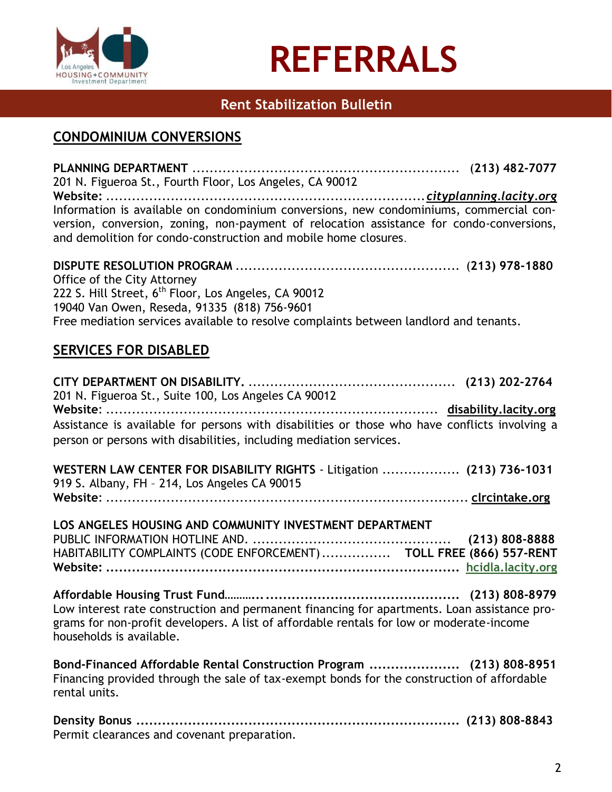

## **Rent Stabilization Bulletin**

## **CONDOMINIUM CONVERSIONS**

**PLANNING DEPARTMENT** .............................................................. (**213) 482-7077** 201 N. Figueroa St., Fourth Floor, Los Angeles, CA 90012 **Website:** ..........................................................................*cityplanning.lacity.org* Information is available on condominium conversions, new condominiums, commercial conversion, conversion, zoning, non-payment of relocation assistance for condo-conversions, and demolition for condo-construction and mobile home closures.

**DISPUTE RESOLUTION PROGRAM** .................................................... (**213) 978-1880** Office of the City Attorney 222 S. Hill Street, 6<sup>th</sup> Floor, Los Angeles, CA 90012 19040 Van Owen, Reseda, 91335 (818) 756-9601 Free mediation services available to resolve complaints between landlord and tenants.

## **SERVICES FOR DISABLED**

**CITY DEPARTMENT ON DISABILITY.** ................................................ **(213) 202-2764** 201 N. Figueroa St., Suite 100, Los Angeles CA 90012 **Website**: ............................................................................. **disability.lacity.org** Assistance is available for persons with disabilities or those who have conflicts involving a person or persons with disabilities, including mediation services.

**WESTERN LAW CENTER FOR DISABILITY RIGHTS** - Litigation .................. **(213) 736-1031** 919 S. Albany, FH – 214, Los Angeles CA 90015 **Website**: .................................................................................... **clrcintake.org**

**LOS ANGELES HOUSING AND COMMUNITY INVESTMENT DEPARTMENT** PUBLIC INFORMATION HOTLINE AND. .............................................. **(213) 808-8888** HABITABILITY COMPLAINTS (CODE ENFORCEMENT)................ **TOLL FREE (866) 557-RENT Website: .................................................................................. [hcidla.lacity.org](http://www.lacity.org/lahd)**

**Affordable Housing Trust Fund………................................................ (213) 808-8979** Low interest rate construction and permanent financing for apartments. Loan assistance programs for non-profit developers. A list of affordable rentals for low or moderate-income households is available.

**Bond-Financed Affordable Rental Construction Program ..................... (213) 808-8951** Financing provided through the sale of tax-exempt bonds for the construction of affordable rental units.

**Density Bonus ........................................................................... (213) 808-8843** Permit clearances and covenant preparation.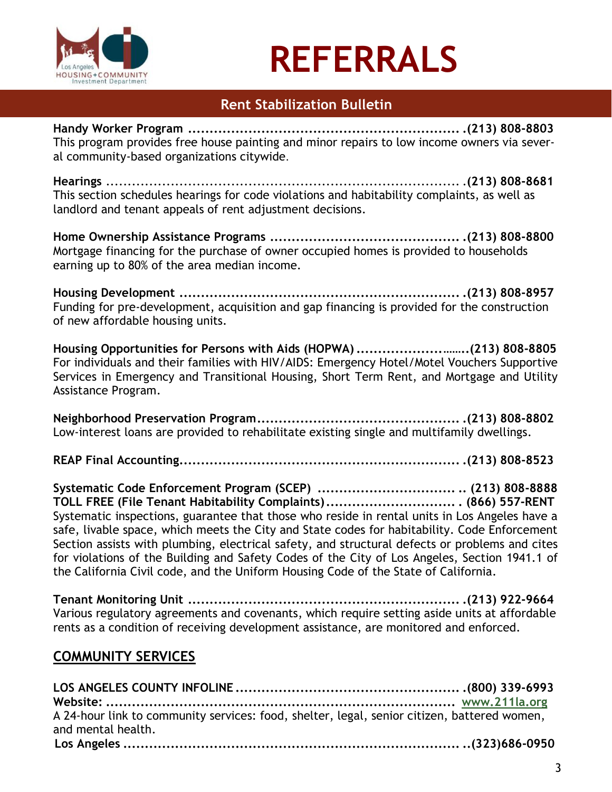

# **Rent Stabilization Bulletin**

**Handy Worker Program ............................................................... .(213) 808-8803** This program provides free house painting and minor repairs to low income owners via several community-based organizations citywide.

**Hearings** .................................................................................. .**(213) 808-8681** This section schedules hearings for code violations and habitability complaints, as well as landlord and tenant appeals of rent adjustment decisions.

**Home Ownership Assistance Programs ............................................ .(213) 808-8800** Mortgage financing for the purchase of owner occupied homes is provided to households earning up to 80% of the area median income.

**Housing Development ................................................................. .(213) 808-8957** Funding for pre-development, acquisition and gap financing is provided for the construction of new affordable housing units.

**Housing Opportunities for Persons with Aids (HOPWA)....................……..(213) 808-8805** For individuals and their families with HIV/AIDS: Emergency Hotel/Motel Vouchers Supportive Services in Emergency and Transitional Housing, Short Term Rent, and Mortgage and Utility Assistance Program.

**Neighborhood Preservation Program............................................... .(213) 808-8802**  Low-interest loans are provided to rehabilitate existing single and multifamily dwellings.

**REAP Final Accounting................................................................. .(213) 808-8523**

**Systematic Code Enforcement Program (SCEP) ................................ .. (213) 808-8888 TOLL FREE (File Tenant Habitability Complaints).............................. . (866) 557-RENT** Systematic inspections, guarantee that those who reside in rental units in Los Angeles have a safe, livable space, which meets the City and State codes for habitability. Code Enforcement Section assists with plumbing, electrical safety, and structural defects or problems and cites for violations of the Building and Safety Codes of the City of Los Angeles, Section 1941.1 of the California Civil code, and the Uniform Housing Code of the State of California.

**Tenant Monitoring Unit ............................................................... .(213) 922-9664** Various regulatory agreements and covenants, which require setting aside units at affordable rents as a condition of receiving development assistance, are monitored and enforced.

# **COMMUNITY SERVICES**

| A 24-hour link to community services: food, shelter, legal, senior citizen, battered women, |  |
|---------------------------------------------------------------------------------------------|--|
| and mental health.                                                                          |  |
|                                                                                             |  |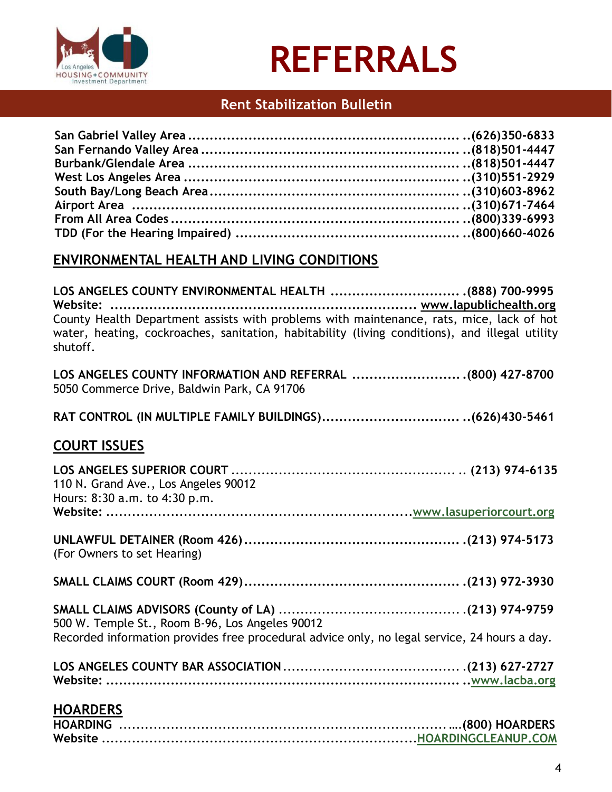

## **Rent Stabilization Bulletin**

## **ENVIRONMENTAL HEALTH AND LIVING CONDITIONS**

**LOS ANGELES COUNTY ENVIRONMENTAL HEALTH .............................. .(888) 700-9995 Website: ....................................................................... www.lapublichealth.org** County Health Department assists with problems with maintenance, rats, mice, lack of hot water, heating, cockroaches, sanitation, habitability (living conditions), and illegal utility shutoff.

**LOS ANGELES COUNTY INFORMATION AND REFERRAL ..........................(800) 427-8700** 5050 Commerce Drive, Baldwin Park, CA 91706

**RAT CONTROL (IN MULTIPLE FAMILY BUILDINGS)................................ ..(626)430-5461**

## **COURT ISSUES**

| Recorded information provides free procedural advice only, no legal service, 24 hours a day. |
|----------------------------------------------------------------------------------------------|
|                                                                                              |
|                                                                                              |
|                                                                                              |
|                                                                                              |
|                                                                                              |
|                                                                                              |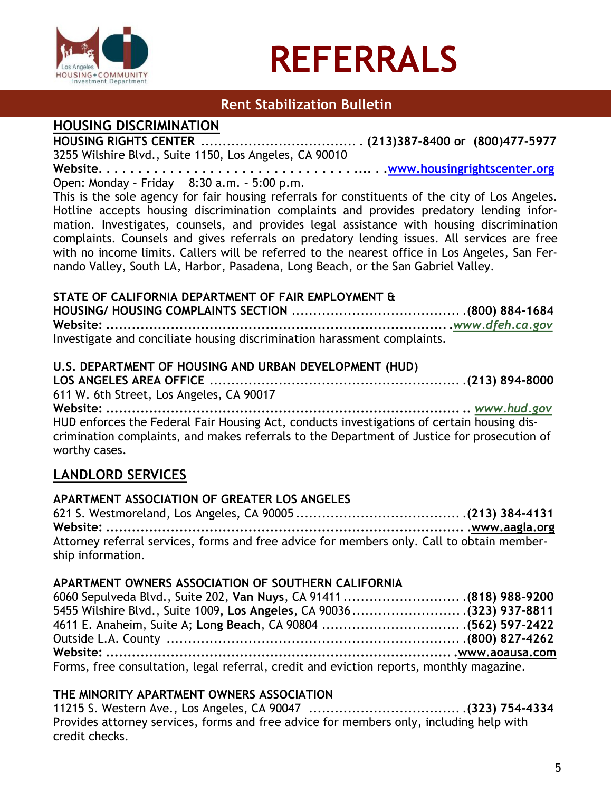

## **Rent Stabilization Bulletin**

### **HOUSING DISCRIMINATION**

**HOUSING RIGHTS CENTER** .................................... . **(213)387-8400 or (800)477-5977** 3255 Wilshire Blvd., Suite 1150, Los Angeles, CA 90010

**Website. . . . . . . . . . . . . . . . . . . . . . . . . . . . . . . . .... . .www.housingrightscenter.org** Open: Monday – Friday 8:30 a.m. – 5:00 p.m.

This is the sole agency for fair housing referrals for constituents of the city of Los Angeles. Hotline accepts housing discrimination complaints and provides predatory lending information. Investigates, counsels, and provides legal assistance with housing discrimination complaints. Counsels and gives referrals on predatory lending issues. All services are free with no income limits. Callers will be referred to the nearest office in Los Angeles, San Fernando Valley, South LA, Harbor, Pasadena, Long Beach, or the San Gabriel Valley.

#### **STATE OF CALIFORNIA DEPARTMENT OF FAIR EMPLOYMENT &**

**HOUSING/ HOUSING COMPLAINTS SECTION** ....................................... .**(800) 884-1684 Website: ................................................................................***[www.dfeh.ca.gov](http://www.dfeh.ca.gov/)* Investigate and conciliate housing discrimination harassment complaints.

#### **U.S. DEPARTMENT OF HOUSING AND URBAN DEVELOPMENT (HUD)**

**LOS ANGELES AREA OFFICE** .......................................................... .**(213) 894-8000** 611 W. 6th Street, Los Angeles, CA 90017

**Website: .................................................................................. ..** *[www.hud.gov](http://www.hud.gov/)* HUD enforces the Federal Fair Housing Act, conducts investigations of certain housing discrimination complaints, and makes referrals to the Department of Justice for prosecution of worthy cases.

## **LANDLORD SERVICES**

#### **APARTMENT ASSOCIATION OF GREATER LOS ANGELES**

621 S. Westmoreland, Los Angeles, CA 90005 ...................................... .**(213) 384-4131 Website: ................................................................................... .www.aagla.org** Attorney referral services, forms and free advice for members only. Call to obtain membership information.

#### **APARTMENT OWNERS ASSOCIATION OF SOUTHERN CALIFORNIA**

| 6060 Sepulveda Blvd., Suite 202, Van Nuys, CA 91411  (818) 988-9200                      |  |
|------------------------------------------------------------------------------------------|--|
| 5455 Wilshire Blvd., Suite 1009, Los Angeles, CA 90036(323) 937-8811                     |  |
|                                                                                          |  |
|                                                                                          |  |
|                                                                                          |  |
| Forms, free consultation, legal referral, credit and eviction reports, monthly magazine. |  |

#### **THE MINORITY APARTMENT OWNERS ASSOCIATION**

11215 S. Western Ave., Los Angeles, CA 90047 ................................... .**(323) 754-4334** Provides attorney services, forms and free advice for members only, including help with credit checks.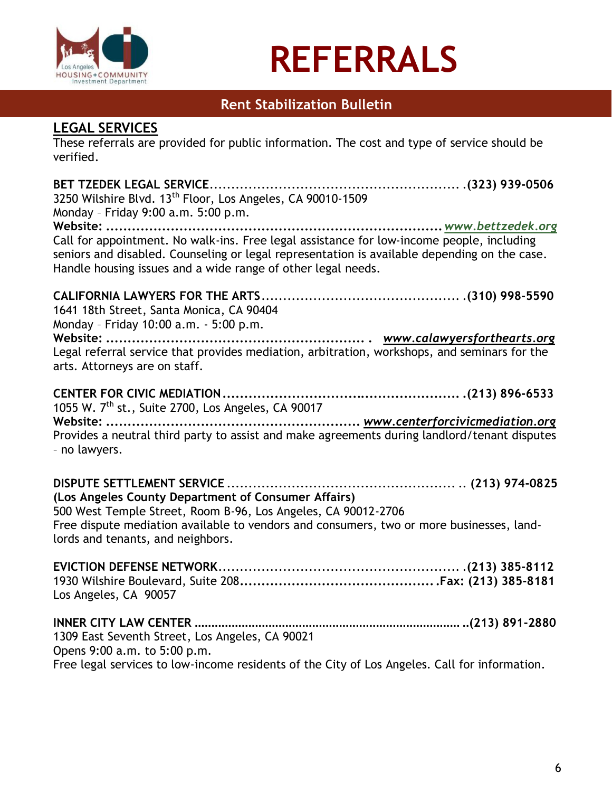

## **Rent Stabilization Bulletin**

### **LEGAL SERVICES**

These referrals are provided for public information. The cost and type of service should be verified.

| 3250 Wilshire Blvd. 13 <sup>th</sup> Floor, Los Angeles, CA 90010-1509<br>Monday - Friday 9:00 a.m. 5:00 p.m.                                                                                                                                             |  |
|-----------------------------------------------------------------------------------------------------------------------------------------------------------------------------------------------------------------------------------------------------------|--|
|                                                                                                                                                                                                                                                           |  |
| Call for appointment. No walk-ins. Free legal assistance for low-income people, including<br>seniors and disabled. Counseling or legal representation is available depending on the case.<br>Handle housing issues and a wide range of other legal needs. |  |
| 1641 18th Street, Santa Monica, CA 90404<br>Monday - Friday 10:00 a.m. - 5:00 p.m.                                                                                                                                                                        |  |
| Legal referral service that provides mediation, arbitration, workshops, and seminars for the<br>arts. Attorneys are on staff.                                                                                                                             |  |
| 1055 W. 7 <sup>th</sup> st., Suite 2700, Los Angeles, CA 90017                                                                                                                                                                                            |  |
| Provides a neutral third party to assist and make agreements during landlord/tenant disputes<br>- no lawyers.                                                                                                                                             |  |
|                                                                                                                                                                                                                                                           |  |
| (Los Angeles County Department of Consumer Affairs)<br>500 West Temple Street, Room B-96, Los Angeles, CA 90012-2706                                                                                                                                      |  |
| Free dispute mediation available to vendors and consumers, two or more businesses, land-<br>lords and tenants, and neighbors.                                                                                                                             |  |
| Los Angeles, CA 90057                                                                                                                                                                                                                                     |  |
| 1309 East Seventh Street, Los Angeles, CA 90021<br>Opens 9:00 a.m. to 5:00 p.m.                                                                                                                                                                           |  |
| Free legal services to low-income residents of the City of Los Angeles. Call for information.                                                                                                                                                             |  |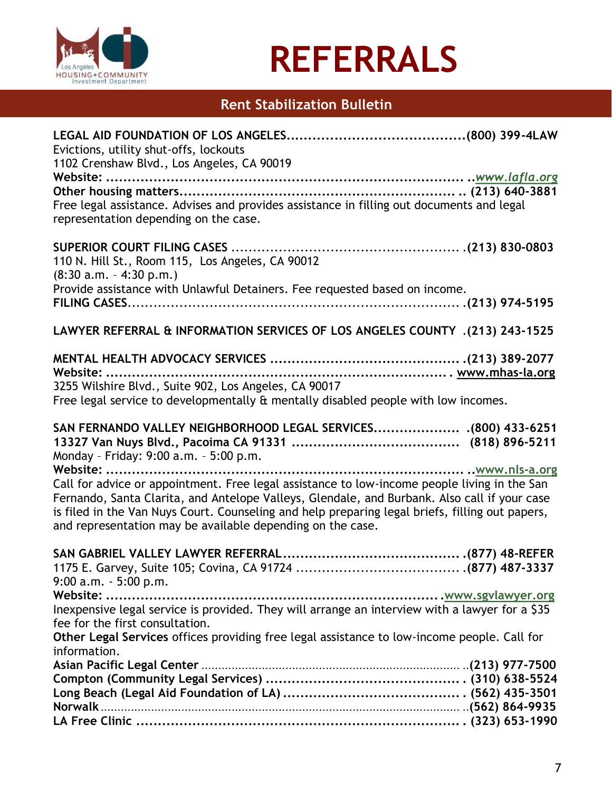

# **Rent Stabilization Bulletin**

| Evictions, utility shut-offs, lockouts<br>1102 Crenshaw Blvd., Los Angeles, CA 90019                                                                                                                                                                                                                                                                          |  |
|---------------------------------------------------------------------------------------------------------------------------------------------------------------------------------------------------------------------------------------------------------------------------------------------------------------------------------------------------------------|--|
|                                                                                                                                                                                                                                                                                                                                                               |  |
|                                                                                                                                                                                                                                                                                                                                                               |  |
| Free legal assistance. Advises and provides assistance in filling out documents and legal<br>representation depending on the case.                                                                                                                                                                                                                            |  |
| 110 N. Hill St., Room 115, Los Angeles, CA 90012                                                                                                                                                                                                                                                                                                              |  |
| $(8:30 a.m. - 4:30 p.m.)$                                                                                                                                                                                                                                                                                                                                     |  |
| Provide assistance with Unlawful Detainers. Fee requested based on income.                                                                                                                                                                                                                                                                                    |  |
| LAWYER REFERRAL & INFORMATION SERVICES OF LOS ANGELES COUNTY .(213) 243-1525                                                                                                                                                                                                                                                                                  |  |
| Website:                                                                                                                                                                                                                                                                                                                                                      |  |
| 3255 Wilshire Blvd., Suite 902, Los Angeles, CA 90017                                                                                                                                                                                                                                                                                                         |  |
| Free legal service to developmentally & mentally disabled people with low incomes.                                                                                                                                                                                                                                                                            |  |
| SAN FERNANDO VALLEY NEIGHBORHOOD LEGAL SERVICES (800) 433-6251<br>Monday - Friday: 9:00 a.m. - 5:00 p.m.                                                                                                                                                                                                                                                      |  |
| Website:                                                                                                                                                                                                                                                                                                                                                      |  |
| Call for advice or appointment. Free legal assistance to low-income people living in the San<br>Fernando, Santa Clarita, and Antelope Valleys, Glendale, and Burbank. Also call if your case<br>is filed in the Van Nuys Court. Counseling and help preparing legal briefs, filling out papers,<br>and representation may be available depending on the case. |  |
|                                                                                                                                                                                                                                                                                                                                                               |  |
| $9:00$ a.m. $-5:00$ p.m.                                                                                                                                                                                                                                                                                                                                      |  |
|                                                                                                                                                                                                                                                                                                                                                               |  |
| Inexpensive legal service is provided. They will arrange an interview with a lawyer for a \$35<br>fee for the first consultation.                                                                                                                                                                                                                             |  |
| Other Legal Services offices providing free legal assistance to low-income people. Call for<br>information.                                                                                                                                                                                                                                                   |  |
|                                                                                                                                                                                                                                                                                                                                                               |  |
|                                                                                                                                                                                                                                                                                                                                                               |  |
|                                                                                                                                                                                                                                                                                                                                                               |  |
|                                                                                                                                                                                                                                                                                                                                                               |  |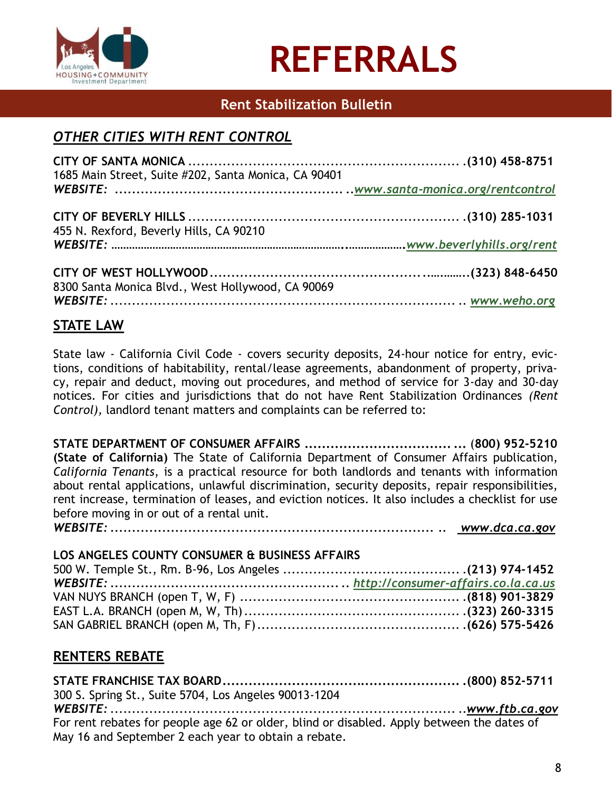

## **Rent Stabilization Bulletin**

# *OTHER CITIES WITH RENT CONTROL*

| 1685 Main Street, Suite #202, Santa Monica, CA 90401 |  |
|------------------------------------------------------|--|
|                                                      |  |
| 455 N. Rexford, Beverly Hills, CA 90210              |  |
|                                                      |  |
| 8300 Santa Monica Blvd., West Hollywood, CA 90069    |  |
|                                                      |  |

## **STATE LAW**

State law - California Civil Code - covers security deposits, 24-hour notice for entry, evictions, conditions of habitability, rental/lease agreements, abandonment of property, privacy, repair and deduct, moving out procedures, and method of service for 3-day and 30-day notices. For cities and jurisdictions that do not have Rent Stabilization Ordinances *(Rent Control),* landlord tenant matters and complaints can be referred to:

**STATE DEPARTMENT OF CONSUMER AFFAIRS .................................. ...** (**800) 952-5210 (State of California)** The State of California Department of Consumer Affairs publication, *California Tenants*, is a practical resource for both landlords and tenants with information about rental applications, unlawful discrimination, security deposits, repair responsibilities, rent increase, termination of leases, and eviction notices. It also includes a checklist for use before moving in or out of a rental unit. *WEBSITE: ........................................................................... .. www.dca.ca.gov*

# **LOS ANGELES COUNTY CONSUMER & BUSINESS AFFAIRS**

| LOJ ANGLLEJ COONTT CONJOMEN & DOJINEJJ ALI AINJ |  |
|-------------------------------------------------|--|
|                                                 |  |
|                                                 |  |
|                                                 |  |
|                                                 |  |
|                                                 |  |

### **RENTERS REBATE**

**STATE FRANCHISE TAX BOARD....................................................... .(800) 852-5711** 300 S. Spring St., Suite 5704, Los Angeles 90013-1204 *WEBSITE:* ................................................................................ ..*www.ftb.ca.gov* For rent rebates for people age 62 or older, blind or disabled. Apply between the dates of May 16 and September 2 each year to obtain a rebate.